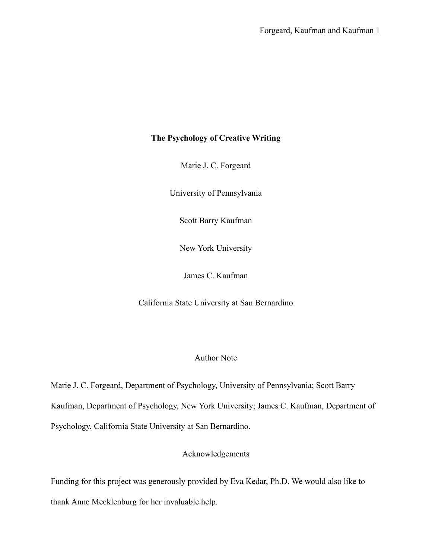# **The Psychology of Creative Writing**

Marie J. C. Forgeard

University of Pennsylvania

Scott Barry Kaufman

New York University

James C. Kaufman

California State University at San Bernardino

## Author Note

Marie J. C. Forgeard, Department of Psychology, University of Pennsylvania; Scott Barry Kaufman, Department of Psychology, New York University; James C. Kaufman, Department of Psychology, California State University at San Bernardino.

## Acknowledgements

Funding for this project was generously provided by Eva Kedar, Ph.D. We would also like to thank Anne Mecklenburg for her invaluable help.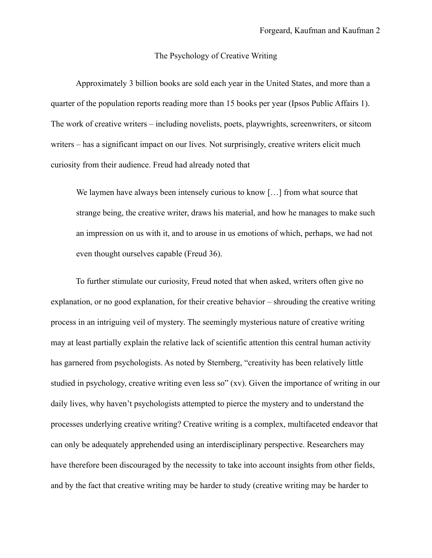### The Psychology of Creative Writing

Approximately 3 billion books are sold each year in the United States, and more than a quarter of the population reports reading more than 15 books per year (Ipsos Public Affairs 1). The work of creative writers – including novelists, poets, playwrights, screenwriters, or sitcom writers – has a significant impact on our lives. Not surprisingly, creative writers elicit much curiosity from their audience. Freud had already noted that

We laymen have always been intensely curious to know [...] from what source that strange being, the creative writer, draws his material, and how he manages to make such an impression on us with it, and to arouse in us emotions of which, perhaps, we had not even thought ourselves capable (Freud 36).

To further stimulate our curiosity, Freud noted that when asked, writers often give no explanation, or no good explanation, for their creative behavior – shrouding the creative writing process in an intriguing veil of mystery. The seemingly mysterious nature of creative writing may at least partially explain the relative lack of scientific attention this central human activity has garnered from psychologists. As noted by Sternberg, "creativity has been relatively little studied in psychology, creative writing even less so" (xv). Given the importance of writing in our daily lives, why haven't psychologists attempted to pierce the mystery and to understand the processes underlying creative writing? Creative writing is a complex, multifaceted endeavor that can only be adequately apprehended using an interdisciplinary perspective. Researchers may have therefore been discouraged by the necessity to take into account insights from other fields, and by the fact that creative writing may be harder to study (creative writing may be harder to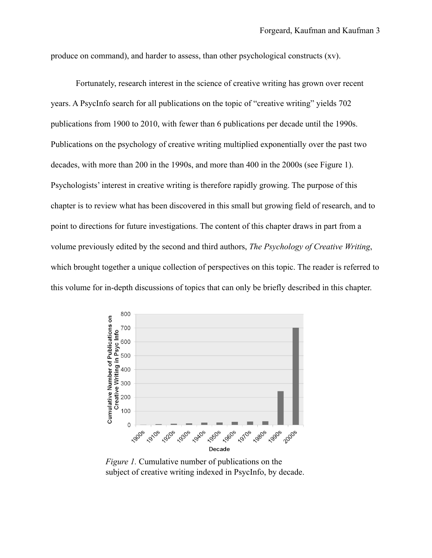produce on command), and harder to assess, than other psychological constructs (xv).

Fortunately, research interest in the science of creative writing has grown over recent years. A PsycInfo search for all publications on the topic of "creative writing" yields 702 publications from 1900 to 2010, with fewer than 6 publications per decade until the 1990s. Publications on the psychology of creative writing multiplied exponentially over the past two decades, with more than 200 in the 1990s, and more than 400 in the 2000s (see Figure 1). Psychologists' interest in creative writing is therefore rapidly growing. The purpose of this chapter is to review what has been discovered in this small but growing field of research, and to point to directions for future investigations. The content of this chapter draws in part from a volume previously edited by the second and third authors, *The Psychology of Creative Writing*, which brought together a unique collection of perspectives on this topic. The reader is referred to this volume for in-depth discussions of topics that can only be briefly described in this chapter.



*Figure 1.* Cumulative number of publications on the subject of creative writing indexed in PsycInfo, by decade.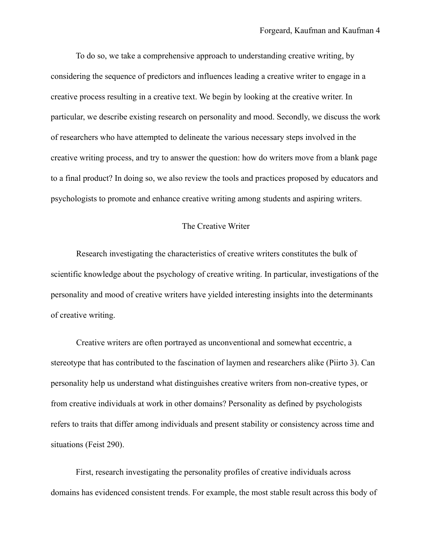To do so, we take a comprehensive approach to understanding creative writing, by considering the sequence of predictors and influences leading a creative writer to engage in a creative process resulting in a creative text. We begin by looking at the creative writer. In particular, we describe existing research on personality and mood. Secondly, we discuss the work of researchers who have attempted to delineate the various necessary steps involved in the creative writing process, and try to answer the question: how do writers move from a blank page to a final product? In doing so, we also review the tools and practices proposed by educators and psychologists to promote and enhance creative writing among students and aspiring writers.

## The Creative Writer

Research investigating the characteristics of creative writers constitutes the bulk of scientific knowledge about the psychology of creative writing. In particular, investigations of the personality and mood of creative writers have yielded interesting insights into the determinants of creative writing.

 Creative writers are often portrayed as unconventional and somewhat eccentric, a stereotype that has contributed to the fascination of laymen and researchers alike (Piirto 3). Can personality help us understand what distinguishes creative writers from non-creative types, or from creative individuals at work in other domains? Personality as defined by psychologists refers to traits that differ among individuals and present stability or consistency across time and situations (Feist 290).

First, research investigating the personality profiles of creative individuals across domains has evidenced consistent trends. For example, the most stable result across this body of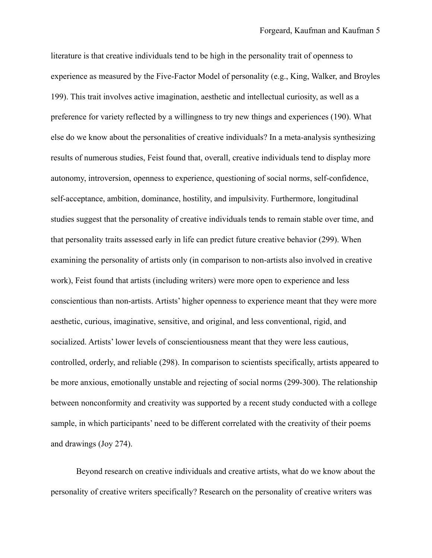literature is that creative individuals tend to be high in the personality trait of openness to experience as measured by the Five-Factor Model of personality (e.g., King, Walker, and Broyles 199). This trait involves active imagination, aesthetic and intellectual curiosity, as well as a preference for variety reflected by a willingness to try new things and experiences (190). What else do we know about the personalities of creative individuals? In a meta-analysis synthesizing results of numerous studies, Feist found that, overall, creative individuals tend to display more autonomy, introversion, openness to experience, questioning of social norms, self-confidence, self-acceptance, ambition, dominance, hostility, and impulsivity. Furthermore, longitudinal studies suggest that the personality of creative individuals tends to remain stable over time, and that personality traits assessed early in life can predict future creative behavior (299). When examining the personality of artists only (in comparison to non-artists also involved in creative work), Feist found that artists (including writers) were more open to experience and less conscientious than non-artists. Artists' higher openness to experience meant that they were more aesthetic, curious, imaginative, sensitive, and original, and less conventional, rigid, and socialized. Artists' lower levels of conscientiousness meant that they were less cautious, controlled, orderly, and reliable (298). In comparison to scientists specifically, artists appeared to be more anxious, emotionally unstable and rejecting of social norms (299-300). The relationship between nonconformity and creativity was supported by a recent study conducted with a college sample, in which participants' need to be different correlated with the creativity of their poems and drawings (Joy 274).

 Beyond research on creative individuals and creative artists, what do we know about the personality of creative writers specifically? Research on the personality of creative writers was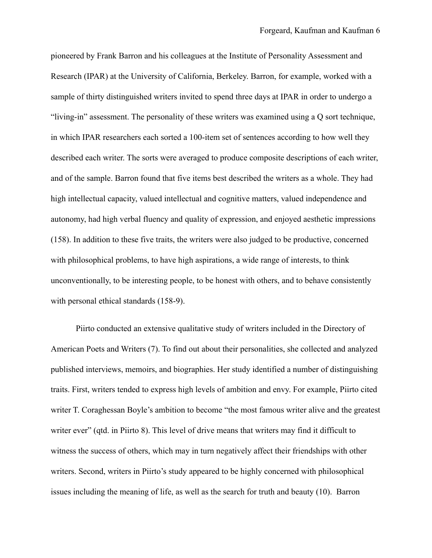pioneered by Frank Barron and his colleagues at the Institute of Personality Assessment and Research (IPAR) at the University of California, Berkeley. Barron, for example, worked with a sample of thirty distinguished writers invited to spend three days at IPAR in order to undergo a "living-in" assessment. The personality of these writers was examined using a Q sort technique, in which IPAR researchers each sorted a 100-item set of sentences according to how well they described each writer. The sorts were averaged to produce composite descriptions of each writer, and of the sample. Barron found that five items best described the writers as a whole. They had high intellectual capacity, valued intellectual and cognitive matters, valued independence and autonomy, had high verbal fluency and quality of expression, and enjoyed aesthetic impressions (158). In addition to these five traits, the writers were also judged to be productive, concerned with philosophical problems, to have high aspirations, a wide range of interests, to think unconventionally, to be interesting people, to be honest with others, and to behave consistently with personal ethical standards (158-9).

Piirto conducted an extensive qualitative study of writers included in the Directory of American Poets and Writers (7). To find out about their personalities, she collected and analyzed published interviews, memoirs, and biographies. Her study identified a number of distinguishing traits. First, writers tended to express high levels of ambition and envy. For example, Piirto cited writer T. Coraghessan Boyle's ambition to become "the most famous writer alive and the greatest writer ever" (qtd. in Piirto 8). This level of drive means that writers may find it difficult to witness the success of others, which may in turn negatively affect their friendships with other writers. Second, writers in Piirto's study appeared to be highly concerned with philosophical issues including the meaning of life, as well as the search for truth and beauty (10). Barron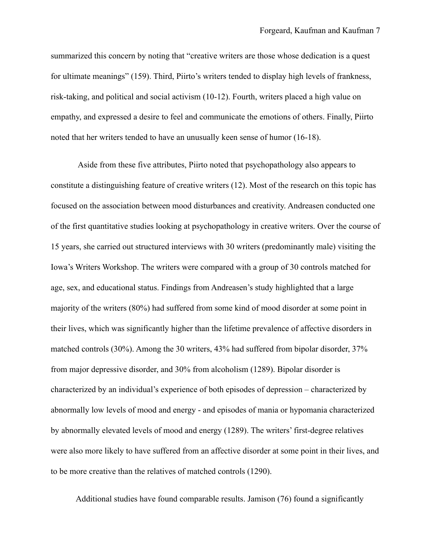summarized this concern by noting that "creative writers are those whose dedication is a quest for ultimate meanings" (159). Third, Piirto's writers tended to display high levels of frankness, risk-taking, and political and social activism (10-12). Fourth, writers placed a high value on empathy, and expressed a desire to feel and communicate the emotions of others. Finally, Piirto noted that her writers tended to have an unusually keen sense of humor (16-18).

 Aside from these five attributes, Piirto noted that psychopathology also appears to constitute a distinguishing feature of creative writers (12). Most of the research on this topic has focused on the association between mood disturbances and creativity. Andreasen conducted one of the first quantitative studies looking at psychopathology in creative writers. Over the course of 15 years, she carried out structured interviews with 30 writers (predominantly male) visiting the Iowa's Writers Workshop. The writers were compared with a group of 30 controls matched for age, sex, and educational status. Findings from Andreasen's study highlighted that a large majority of the writers (80%) had suffered from some kind of mood disorder at some point in their lives, which was significantly higher than the lifetime prevalence of affective disorders in matched controls (30%). Among the 30 writers, 43% had suffered from bipolar disorder, 37% from major depressive disorder, and 30% from alcoholism (1289). Bipolar disorder is characterized by an individual's experience of both episodes of depression – characterized by abnormally low levels of mood and energy - and episodes of mania or hypomania characterized by abnormally elevated levels of mood and energy (1289). The writers' first-degree relatives were also more likely to have suffered from an affective disorder at some point in their lives, and to be more creative than the relatives of matched controls (1290).

Additional studies have found comparable results. Jamison (76) found a significantly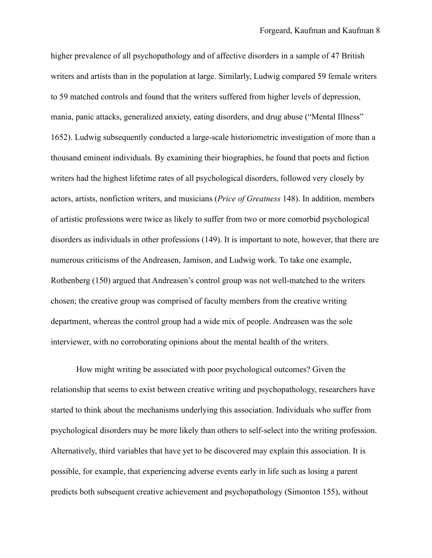higher prevalence of all psychopathology and of affective disorders in a sample of 47 British writers and artists than in the population at large. Similarly, Ludwig compared 59 female writers to 59 matched controls and found that the writers suffered from higher levels of depression, mania, panic attacks, generalized anxiety, eating disorders, and drug abuse ("Mental Illness" 1652). Ludwig subsequently conducted a large-scale historiometric investigation of more than a thousand eminent individuals. By examining their biographies, he found that poets and fiction writers had the highest lifetime rates of all psychological disorders, followed very closely by actors, artists, nonfiction writers, and musicians (*Price of Greatness* 148). In addition, members of artistic professions were twice as likely to suffer from two or more comorbid psychological disorders as individuals in other professions (149). It is important to note, however, that there are numerous criticisms of the Andreasen, Jamison, and Ludwig work. To take one example, Rothenberg (150) argued that Andreasen's control group was not well-matched to the writers chosen; the creative group was comprised of faculty members from the creative writing department, whereas the control group had a wide mix of people. Andreasen was the sole interviewer, with no corroborating opinions about the mental health of the writers.

How might writing be associated with poor psychological outcomes? Given the relationship that seems to exist between creative writing and psychopathology, researchers have started to think about the mechanisms underlying this association. Individuals who suffer from psychological disorders may be more likely than others to self-select into the writing profession. Alternatively, third variables that have yet to be discovered may explain this association. It is possible, for example, that experiencing adverse events early in life such as losing a parent predicts both subsequent creative achievement and psychopathology (Simonton 155), without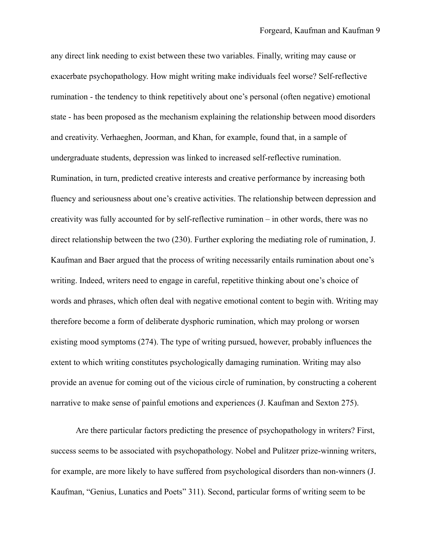any direct link needing to exist between these two variables. Finally, writing may cause or exacerbate psychopathology. How might writing make individuals feel worse? Self-reflective rumination - the tendency to think repetitively about one's personal (often negative) emotional state - has been proposed as the mechanism explaining the relationship between mood disorders and creativity. Verhaeghen, Joorman, and Khan, for example, found that, in a sample of undergraduate students, depression was linked to increased self-reflective rumination. Rumination, in turn, predicted creative interests and creative performance by increasing both fluency and seriousness about one's creative activities. The relationship between depression and creativity was fully accounted for by self-reflective rumination – in other words, there was no direct relationship between the two (230). Further exploring the mediating role of rumination, J. Kaufman and Baer argued that the process of writing necessarily entails rumination about one's writing. Indeed, writers need to engage in careful, repetitive thinking about one's choice of words and phrases, which often deal with negative emotional content to begin with. Writing may therefore become a form of deliberate dysphoric rumination, which may prolong or worsen existing mood symptoms (274). The type of writing pursued, however, probably influences the extent to which writing constitutes psychologically damaging rumination. Writing may also provide an avenue for coming out of the vicious circle of rumination, by constructing a coherent narrative to make sense of painful emotions and experiences (J. Kaufman and Sexton 275).

 Are there particular factors predicting the presence of psychopathology in writers? First, success seems to be associated with psychopathology. Nobel and Pulitzer prize-winning writers, for example, are more likely to have suffered from psychological disorders than non-winners (J. Kaufman, "Genius, Lunatics and Poets" 311). Second, particular forms of writing seem to be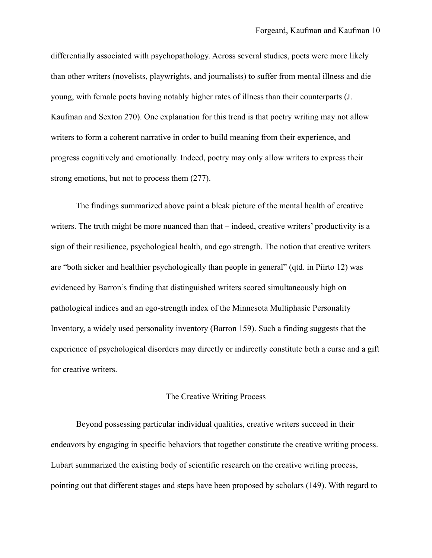differentially associated with psychopathology. Across several studies, poets were more likely than other writers (novelists, playwrights, and journalists) to suffer from mental illness and die young, with female poets having notably higher rates of illness than their counterparts (J. Kaufman and Sexton 270). One explanation for this trend is that poetry writing may not allow writers to form a coherent narrative in order to build meaning from their experience, and progress cognitively and emotionally. Indeed, poetry may only allow writers to express their strong emotions, but not to process them (277).

The findings summarized above paint a bleak picture of the mental health of creative writers. The truth might be more nuanced than that – indeed, creative writers' productivity is a sign of their resilience, psychological health, and ego strength. The notion that creative writers are "both sicker and healthier psychologically than people in general" (qtd. in Piirto 12) was evidenced by Barron's finding that distinguished writers scored simultaneously high on pathological indices and an ego-strength index of the Minnesota Multiphasic Personality Inventory, a widely used personality inventory (Barron 159). Such a finding suggests that the experience of psychological disorders may directly or indirectly constitute both a curse and a gift for creative writers.

#### The Creative Writing Process

 Beyond possessing particular individual qualities, creative writers succeed in their endeavors by engaging in specific behaviors that together constitute the creative writing process. Lubart summarized the existing body of scientific research on the creative writing process, pointing out that different stages and steps have been proposed by scholars (149). With regard to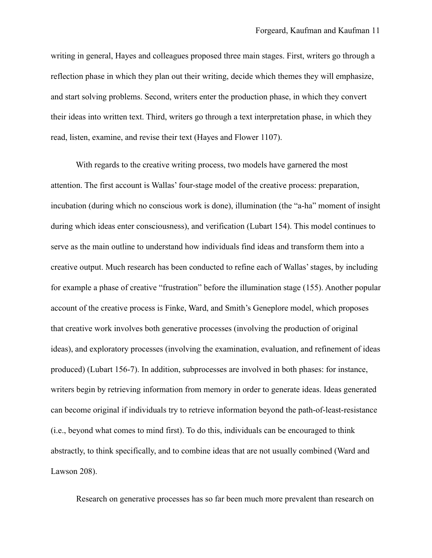writing in general, Hayes and colleagues proposed three main stages. First, writers go through a reflection phase in which they plan out their writing, decide which themes they will emphasize, and start solving problems. Second, writers enter the production phase, in which they convert their ideas into written text. Third, writers go through a text interpretation phase, in which they read, listen, examine, and revise their text (Hayes and Flower 1107).

With regards to the creative writing process, two models have garnered the most attention. The first account is Wallas' four-stage model of the creative process: preparation, incubation (during which no conscious work is done), illumination (the "a-ha" moment of insight during which ideas enter consciousness), and verification (Lubart 154). This model continues to serve as the main outline to understand how individuals find ideas and transform them into a creative output. Much research has been conducted to refine each of Wallas' stages, by including for example a phase of creative "frustration" before the illumination stage (155). Another popular account of the creative process is Finke, Ward, and Smith's Geneplore model, which proposes that creative work involves both generative processes (involving the production of original ideas), and exploratory processes (involving the examination, evaluation, and refinement of ideas produced) (Lubart 156-7). In addition, subprocesses are involved in both phases: for instance, writers begin by retrieving information from memory in order to generate ideas. Ideas generated can become original if individuals try to retrieve information beyond the path-of-least-resistance (i.e., beyond what comes to mind first). To do this, individuals can be encouraged to think abstractly, to think specifically, and to combine ideas that are not usually combined (Ward and Lawson 208).

Research on generative processes has so far been much more prevalent than research on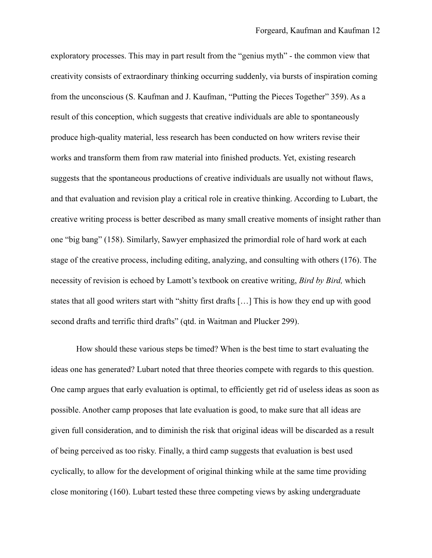exploratory processes. This may in part result from the "genius myth" - the common view that creativity consists of extraordinary thinking occurring suddenly, via bursts of inspiration coming from the unconscious (S. Kaufman and J. Kaufman, "Putting the Pieces Together" 359). As a result of this conception, which suggests that creative individuals are able to spontaneously produce high-quality material, less research has been conducted on how writers revise their works and transform them from raw material into finished products. Yet, existing research suggests that the spontaneous productions of creative individuals are usually not without flaws, and that evaluation and revision play a critical role in creative thinking. According to Lubart, the creative writing process is better described as many small creative moments of insight rather than one "big bang" (158). Similarly, Sawyer emphasized the primordial role of hard work at each stage of the creative process, including editing, analyzing, and consulting with others (176). The necessity of revision is echoed by Lamott's textbook on creative writing, *Bird by Bird,* which states that all good writers start with "shitty first drafts […] This is how they end up with good second drafts and terrific third drafts" (qtd. in Waitman and Plucker 299).

 How should these various steps be timed? When is the best time to start evaluating the ideas one has generated? Lubart noted that three theories compete with regards to this question. One camp argues that early evaluation is optimal, to efficiently get rid of useless ideas as soon as possible. Another camp proposes that late evaluation is good, to make sure that all ideas are given full consideration, and to diminish the risk that original ideas will be discarded as a result of being perceived as too risky. Finally, a third camp suggests that evaluation is best used cyclically, to allow for the development of original thinking while at the same time providing close monitoring (160). Lubart tested these three competing views by asking undergraduate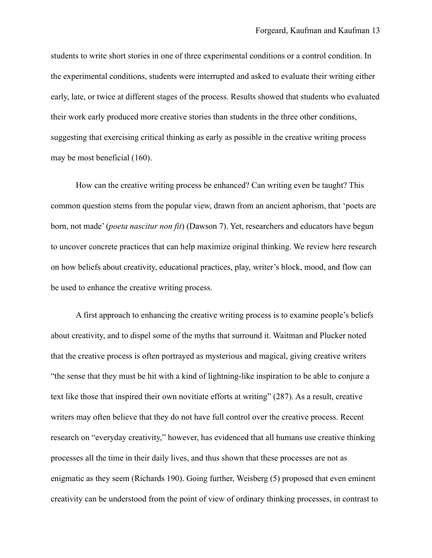students to write short stories in one of three experimental conditions or a control condition. In the experimental conditions, students were interrupted and asked to evaluate their writing either early, late, or twice at different stages of the process. Results showed that students who evaluated their work early produced more creative stories than students in the three other conditions, suggesting that exercising critical thinking as early as possible in the creative writing process may be most beneficial (160).

How can the creative writing process be enhanced? Can writing even be taught? This common question stems from the popular view, drawn from an ancient aphorism, that 'poets are born, not made' (*poeta nascitur non fit*) (Dawson 7). Yet, researchers and educators have begun to uncover concrete practices that can help maximize original thinking. We review here research on how beliefs about creativity, educational practices, play, writer's block, mood, and flow can be used to enhance the creative writing process.

 A first approach to enhancing the creative writing process is to examine people's beliefs about creativity, and to dispel some of the myths that surround it. Waitman and Plucker noted that the creative process is often portrayed as mysterious and magical, giving creative writers "the sense that they must be hit with a kind of lightning-like inspiration to be able to conjure a text like those that inspired their own novitiate efforts at writing" (287). As a result, creative writers may often believe that they do not have full control over the creative process. Recent research on "everyday creativity," however, has evidenced that all humans use creative thinking processes all the time in their daily lives, and thus shown that these processes are not as enigmatic as they seem (Richards 190). Going further, Weisberg (5) proposed that even eminent creativity can be understood from the point of view of ordinary thinking processes, in contrast to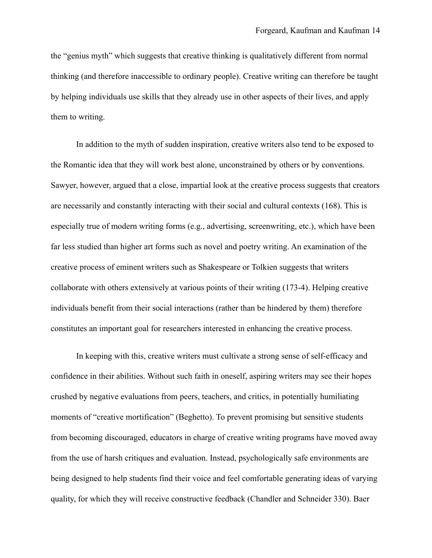the "genius myth" which suggests that creative thinking is qualitatively different from normal thinking (and therefore inaccessible to ordinary people). Creative writing can therefore be taught by helping individuals use skills that they already use in other aspects of their lives, and apply them to writing.

 In addition to the myth of sudden inspiration, creative writers also tend to be exposed to the Romantic idea that they will work best alone, unconstrained by others or by conventions. Sawyer, however, argued that a close, impartial look at the creative process suggests that creators are necessarily and constantly interacting with their social and cultural contexts (168). This is especially true of modern writing forms (e.g., advertising, screenwriting, etc.), which have been far less studied than higher art forms such as novel and poetry writing. An examination of the creative process of eminent writers such as Shakespeare or Tolkien suggests that writers collaborate with others extensively at various points of their writing (173-4). Helping creative individuals benefit from their social interactions (rather than be hindered by them) therefore constitutes an important goal for researchers interested in enhancing the creative process.

 In keeping with this, creative writers must cultivate a strong sense of self-efficacy and confidence in their abilities. Without such faith in oneself, aspiring writers may see their hopes crushed by negative evaluations from peers, teachers, and critics, in potentially humiliating moments of "creative mortification" (Beghetto). To prevent promising but sensitive students from becoming discouraged, educators in charge of creative writing programs have moved away from the use of harsh critiques and evaluation. Instead, psychologically safe environments are being designed to help students find their voice and feel comfortable generating ideas of varying quality, for which they will receive constructive feedback (Chandler and Schneider 330). Baer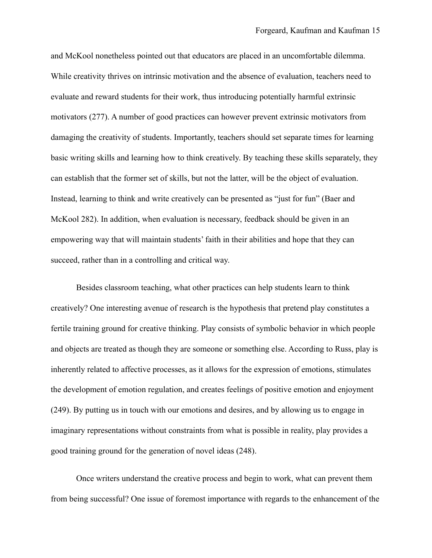and McKool nonetheless pointed out that educators are placed in an uncomfortable dilemma. While creativity thrives on intrinsic motivation and the absence of evaluation, teachers need to evaluate and reward students for their work, thus introducing potentially harmful extrinsic motivators (277). A number of good practices can however prevent extrinsic motivators from damaging the creativity of students. Importantly, teachers should set separate times for learning basic writing skills and learning how to think creatively. By teaching these skills separately, they can establish that the former set of skills, but not the latter, will be the object of evaluation. Instead, learning to think and write creatively can be presented as "just for fun" (Baer and McKool 282). In addition, when evaluation is necessary, feedback should be given in an empowering way that will maintain students' faith in their abilities and hope that they can succeed, rather than in a controlling and critical way.

 Besides classroom teaching, what other practices can help students learn to think creatively? One interesting avenue of research is the hypothesis that pretend play constitutes a fertile training ground for creative thinking. Play consists of symbolic behavior in which people and objects are treated as though they are someone or something else. According to Russ, play is inherently related to affective processes, as it allows for the expression of emotions, stimulates the development of emotion regulation, and creates feelings of positive emotion and enjoyment (249). By putting us in touch with our emotions and desires, and by allowing us to engage in imaginary representations without constraints from what is possible in reality, play provides a good training ground for the generation of novel ideas (248).

 Once writers understand the creative process and begin to work, what can prevent them from being successful? One issue of foremost importance with regards to the enhancement of the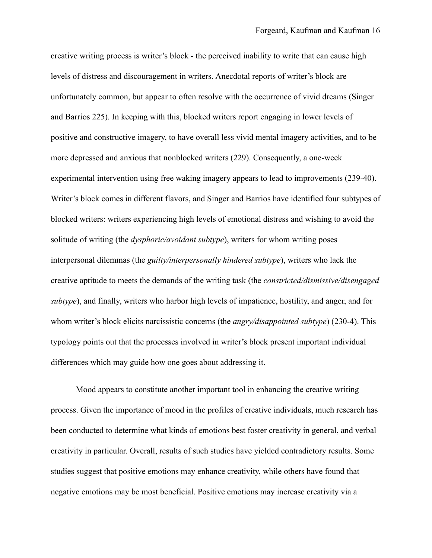creative writing process is writer's block - the perceived inability to write that can cause high levels of distress and discouragement in writers. Anecdotal reports of writer's block are unfortunately common, but appear to often resolve with the occurrence of vivid dreams (Singer and Barrios 225). In keeping with this, blocked writers report engaging in lower levels of positive and constructive imagery, to have overall less vivid mental imagery activities, and to be more depressed and anxious that nonblocked writers (229). Consequently, a one-week experimental intervention using free waking imagery appears to lead to improvements (239-40). Writer's block comes in different flavors, and Singer and Barrios have identified four subtypes of blocked writers: writers experiencing high levels of emotional distress and wishing to avoid the solitude of writing (the *dysphoric/avoidant subtype*), writers for whom writing poses interpersonal dilemmas (the *guilty/interpersonally hindered subtype*), writers who lack the creative aptitude to meets the demands of the writing task (the *constricted/dismissive/disengaged subtype*), and finally, writers who harbor high levels of impatience, hostility, and anger, and for whom writer's block elicits narcissistic concerns (the *angry/disappointed subtype*) (230-4). This typology points out that the processes involved in writer's block present important individual differences which may guide how one goes about addressing it.

Mood appears to constitute another important tool in enhancing the creative writing process. Given the importance of mood in the profiles of creative individuals, much research has been conducted to determine what kinds of emotions best foster creativity in general, and verbal creativity in particular. Overall, results of such studies have yielded contradictory results. Some studies suggest that positive emotions may enhance creativity, while others have found that negative emotions may be most beneficial. Positive emotions may increase creativity via a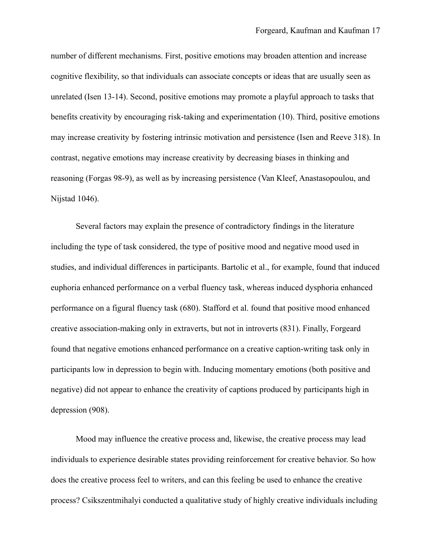number of different mechanisms. First, positive emotions may broaden attention and increase cognitive flexibility, so that individuals can associate concepts or ideas that are usually seen as unrelated (Isen 13-14). Second, positive emotions may promote a playful approach to tasks that benefits creativity by encouraging risk-taking and experimentation (10). Third, positive emotions may increase creativity by fostering intrinsic motivation and persistence (Isen and Reeve 318). In contrast, negative emotions may increase creativity by decreasing biases in thinking and reasoning (Forgas 98-9), as well as by increasing persistence (Van Kleef, Anastasopoulou, and Nijstad 1046).

Several factors may explain the presence of contradictory findings in the literature including the type of task considered, the type of positive mood and negative mood used in studies, and individual differences in participants. Bartolic et al., for example, found that induced euphoria enhanced performance on a verbal fluency task, whereas induced dysphoria enhanced performance on a figural fluency task (680). Stafford et al. found that positive mood enhanced creative association-making only in extraverts, but not in introverts (831). Finally, Forgeard found that negative emotions enhanced performance on a creative caption-writing task only in participants low in depression to begin with. Inducing momentary emotions (both positive and negative) did not appear to enhance the creativity of captions produced by participants high in depression (908).

Mood may influence the creative process and, likewise, the creative process may lead individuals to experience desirable states providing reinforcement for creative behavior. So how does the creative process feel to writers, and can this feeling be used to enhance the creative process? Csikszentmihalyi conducted a qualitative study of highly creative individuals including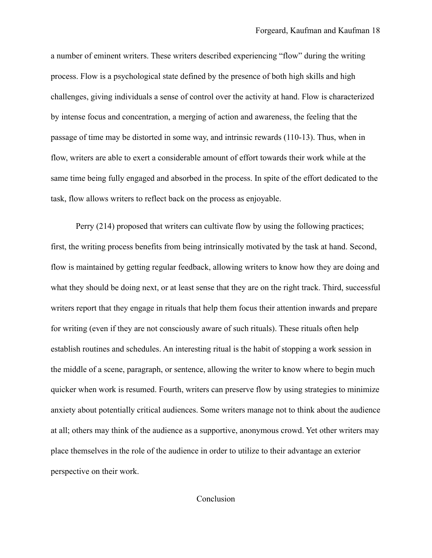a number of eminent writers. These writers described experiencing "flow" during the writing process. Flow is a psychological state defined by the presence of both high skills and high challenges, giving individuals a sense of control over the activity at hand. Flow is characterized by intense focus and concentration, a merging of action and awareness, the feeling that the passage of time may be distorted in some way, and intrinsic rewards (110-13). Thus, when in flow, writers are able to exert a considerable amount of effort towards their work while at the same time being fully engaged and absorbed in the process. In spite of the effort dedicated to the task, flow allows writers to reflect back on the process as enjoyable.

Perry (214) proposed that writers can cultivate flow by using the following practices; first, the writing process benefits from being intrinsically motivated by the task at hand. Second, flow is maintained by getting regular feedback, allowing writers to know how they are doing and what they should be doing next, or at least sense that they are on the right track. Third, successful writers report that they engage in rituals that help them focus their attention inwards and prepare for writing (even if they are not consciously aware of such rituals). These rituals often help establish routines and schedules. An interesting ritual is the habit of stopping a work session in the middle of a scene, paragraph, or sentence, allowing the writer to know where to begin much quicker when work is resumed. Fourth, writers can preserve flow by using strategies to minimize anxiety about potentially critical audiences. Some writers manage not to think about the audience at all; others may think of the audience as a supportive, anonymous crowd. Yet other writers may place themselves in the role of the audience in order to utilize to their advantage an exterior perspective on their work.

#### Conclusion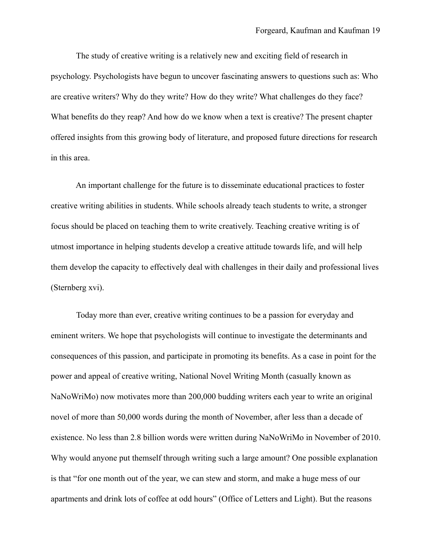The study of creative writing is a relatively new and exciting field of research in psychology. Psychologists have begun to uncover fascinating answers to questions such as: Who are creative writers? Why do they write? How do they write? What challenges do they face? What benefits do they reap? And how do we know when a text is creative? The present chapter offered insights from this growing body of literature, and proposed future directions for research in this area.

 An important challenge for the future is to disseminate educational practices to foster creative writing abilities in students. While schools already teach students to write, a stronger focus should be placed on teaching them to write creatively. Teaching creative writing is of utmost importance in helping students develop a creative attitude towards life, and will help them develop the capacity to effectively deal with challenges in their daily and professional lives (Sternberg xvi).

Today more than ever, creative writing continues to be a passion for everyday and eminent writers. We hope that psychologists will continue to investigate the determinants and consequences of this passion, and participate in promoting its benefits. As a case in point for the power and appeal of creative writing, National Novel Writing Month (casually known as NaNoWriMo) now motivates more than 200,000 budding writers each year to write an original novel of more than 50,000 words during the month of November, after less than a decade of existence. No less than 2.8 billion words were written during NaNoWriMo in November of 2010. Why would anyone put themself through writing such a large amount? One possible explanation is that "for one month out of the year, we can stew and storm, and make a huge mess of our apartments and drink lots of coffee at odd hours" (Office of Letters and Light). But the reasons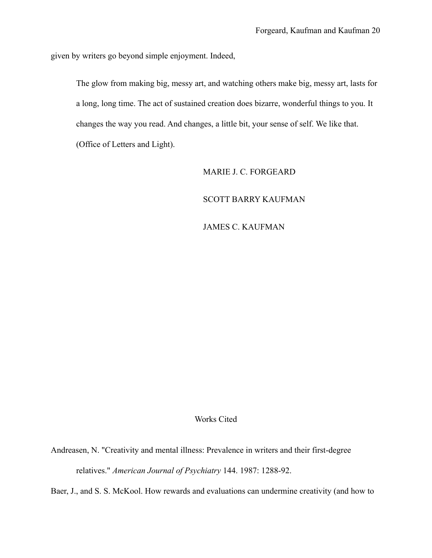given by writers go beyond simple enjoyment. Indeed,

The glow from making big, messy art, and watching others make big, messy art, lasts for a long, long time. The act of sustained creation does bizarre, wonderful things to you. It changes the way you read. And changes, a little bit, your sense of self. We like that. (Office of Letters and Light).

# MARIE J. C. FORGEARD

### SCOTT BARRY KAUFMAN

## JAMES C. KAUFMAN

## Works Cited

Andreasen, N. "Creativity and mental illness: Prevalence in writers and their first-degree relatives." *American Journal of Psychiatry* 144. 1987: 1288-92.

Baer, J., and S. S. McKool. How rewards and evaluations can undermine creativity (and how to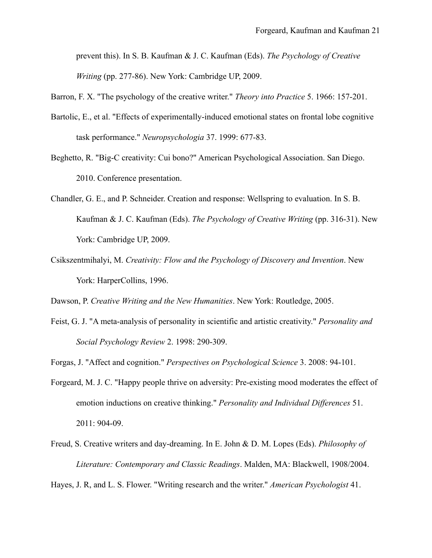prevent this). In S. B. Kaufman & J. C. Kaufman (Eds). *The Psychology of Creative Writing* (pp. 277-86). New York: Cambridge UP, 2009.

Barron, F. X. "The psychology of the creative writer." *Theory into Practice* 5. 1966: 157-201.

- Bartolic, E., et al. "Effects of experimentally-induced emotional states on frontal lobe cognitive task performance." *Neuropsychologia* 37. 1999: 677-83.
- Beghetto, R. "Big-C creativity: Cui bono?" American Psychological Association. San Diego. 2010. Conference presentation.
- Chandler, G. E., and P. Schneider. Creation and response: Wellspring to evaluation. In S. B. Kaufman & J. C. Kaufman (Eds). *The Psychology of Creative Writing* (pp. 316-31). New York: Cambridge UP, 2009.
- Csikszentmihalyi, M. *Creativity: Flow and the Psychology of Discovery and Invention*. New York: HarperCollins, 1996.

Dawson, P. *Creative Writing and the New Humanities*. New York: Routledge, 2005.

- Feist, G. J. "A meta-analysis of personality in scientific and artistic creativity." *Personality and Social Psychology Review* 2. 1998: 290-309.
- Forgas, J. "Affect and cognition." *Perspectives on Psychological Science* 3. 2008: 94-101.
- Forgeard, M. J. C. "Happy people thrive on adversity: Pre-existing mood moderates the effect of emotion inductions on creative thinking." *Personality and Individual Differences* 51. 2011: 904-09.
- Freud, S. Creative writers and day-dreaming. In E. John & D. M. Lopes (Eds). *Philosophy of Literature: Contemporary and Classic Readings*. Malden, MA: Blackwell, 1908/2004.

Hayes, J. R, and L. S. Flower. "Writing research and the writer." *American Psychologist* 41.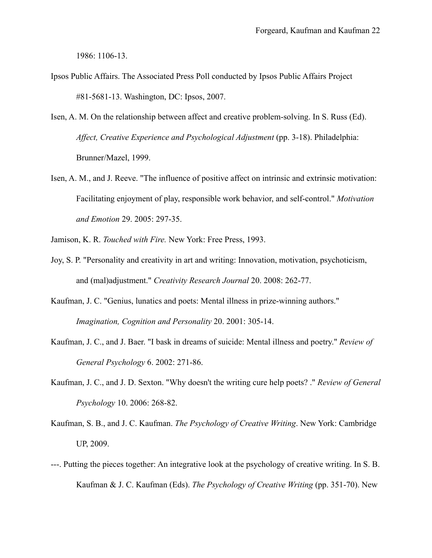1986: 1106-13.

- Ipsos Public Affairs. The Associated Press Poll conducted by Ipsos Public Affairs Project #81-5681-13. Washington, DC: Ipsos, 2007.
- Isen, A. M. On the relationship between affect and creative problem-solving. In S. Russ (Ed). *Affect, Creative Experience and Psychological Adjustment* (pp. 3-18). Philadelphia: Brunner/Mazel, 1999.
- Isen, A. M., and J. Reeve. "The influence of positive affect on intrinsic and extrinsic motivation: Facilitating enjoyment of play, responsible work behavior, and self-control." *Motivation and Emotion* 29. 2005: 297-35.
- Jamison, K. R. *Touched with Fire.* New York: Free Press, 1993.
- Joy, S. P. "Personality and creativity in art and writing: Innovation, motivation, psychoticism, and (mal)adjustment." *Creativity Research Journal* 20. 2008: 262-77.
- Kaufman, J. C. "Genius, lunatics and poets: Mental illness in prize-winning authors." *Imagination, Cognition and Personality* 20. 2001: 305-14.
- Kaufman, J. C., and J. Baer. "I bask in dreams of suicide: Mental illness and poetry." *Review of General Psychology* 6. 2002: 271-86.
- Kaufman, J. C., and J. D. Sexton. "Why doesn't the writing cure help poets? ." *Review of General Psychology* 10. 2006: 268-82.
- Kaufman, S. B., and J. C. Kaufman. *The Psychology of Creative Writing*. New York: Cambridge UP, 2009.
- ---. Putting the pieces together: An integrative look at the psychology of creative writing. In S. B. Kaufman & J. C. Kaufman (Eds). *The Psychology of Creative Writing* (pp. 351-70). New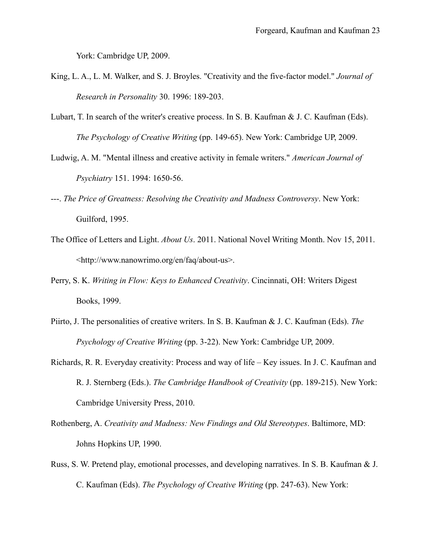York: Cambridge UP, 2009.

- King, L. A., L. M. Walker, and S. J. Broyles. "Creativity and the five-factor model." *Journal of Research in Personality* 30. 1996: 189-203.
- Lubart, T. In search of the writer's creative process. In S. B. Kaufman  $\&$  J. C. Kaufman (Eds). *The Psychology of Creative Writing* (pp. 149-65). New York: Cambridge UP, 2009.
- Ludwig, A. M. "Mental illness and creative activity in female writers." *American Journal of Psychiatry* 151. 1994: 1650-56.
- ---. *The Price of Greatness: Resolving the Creativity and Madness Controversy*. New York: Guilford, 1995.
- The Office of Letters and Light. *About Us*. 2011. National Novel Writing Month. Nov 15, 2011. <http://www.nanowrimo.org/en/faq/about-us>.
- Perry, S. K. *Writing in Flow: Keys to Enhanced Creativity*. Cincinnati, OH: Writers Digest Books, 1999.
- Piirto, J. The personalities of creative writers. In S. B. Kaufman & J. C. Kaufman (Eds). *The Psychology of Creative Writing* (pp. 3-22). New York: Cambridge UP, 2009.
- Richards, R. R. Everyday creativity: Process and way of life Key issues. In J. C. Kaufman and R. J. Sternberg (Eds.). *The Cambridge Handbook of Creativity* (pp. 189-215). New York: Cambridge University Press, 2010.
- Rothenberg, A. *Creativity and Madness: New Findings and Old Stereotypes*. Baltimore, MD: Johns Hopkins UP, 1990.
- Russ, S. W. Pretend play, emotional processes, and developing narratives. In S. B. Kaufman & J. C. Kaufman (Eds). *The Psychology of Creative Writing* (pp. 247-63). New York: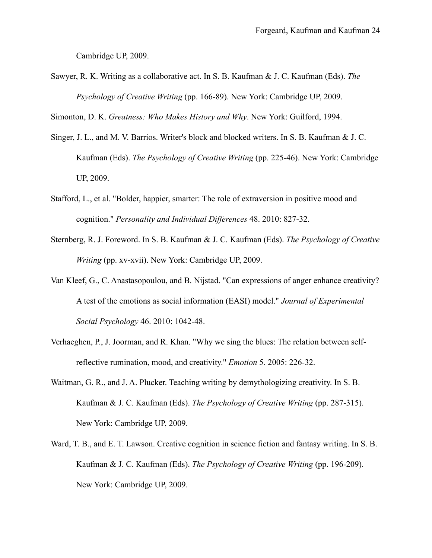Cambridge UP, 2009.

Sawyer, R. K. Writing as a collaborative act. In S. B. Kaufman & J. C. Kaufman (Eds). *The Psychology of Creative Writing* (pp. 166-89). New York: Cambridge UP, 2009.

Simonton, D. K. *Greatness: Who Makes History and Why*. New York: Guilford, 1994.

- Singer, J. L., and M. V. Barrios. Writer's block and blocked writers. In S. B. Kaufman & J. C. Kaufman (Eds). *The Psychology of Creative Writing* (pp. 225-46). New York: Cambridge UP, 2009.
- Stafford, L., et al. "Bolder, happier, smarter: The role of extraversion in positive mood and cognition." *Personality and Individual Differences* 48. 2010: 827-32.
- Sternberg, R. J. Foreword. In S. B. Kaufman & J. C. Kaufman (Eds). *The Psychology of Creative Writing* (pp. xv-xvii). New York: Cambridge UP, 2009.
- Van Kleef, G., C. Anastasopoulou, and B. Nijstad. "Can expressions of anger enhance creativity? A test of the emotions as social information (EASI) model." *Journal of Experimental Social Psychology* 46. 2010: 1042-48.
- Verhaeghen, P., J. Joorman, and R. Khan. "Why we sing the blues: The relation between selfreflective rumination, mood, and creativity." *Emotion* 5. 2005: 226-32.
- Waitman, G. R., and J. A. Plucker. Teaching writing by demythologizing creativity. In S. B. Kaufman & J. C. Kaufman (Eds). *The Psychology of Creative Writing* (pp. 287-315). New York: Cambridge UP, 2009.
- Ward, T. B., and E. T. Lawson. Creative cognition in science fiction and fantasy writing. In S. B. Kaufman & J. C. Kaufman (Eds). *The Psychology of Creative Writing* (pp. 196-209). New York: Cambridge UP, 2009.